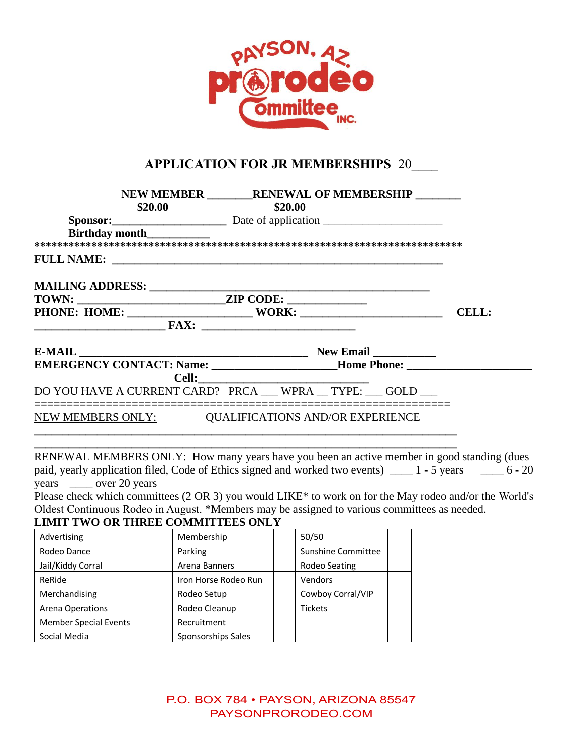

# **APPLICATION FOR JR MEMBERSHIPS** 20\_\_\_\_

|                                                                   | NEW MEMBER RENEWAL OF MEMBERSHIP<br>\$20.00        | \$20.00 |  |  |              |
|-------------------------------------------------------------------|----------------------------------------------------|---------|--|--|--------------|
|                                                                   |                                                    |         |  |  |              |
|                                                                   | <b>Birthday month</b>                              |         |  |  |              |
|                                                                   |                                                    |         |  |  |              |
|                                                                   |                                                    |         |  |  |              |
|                                                                   |                                                    |         |  |  |              |
|                                                                   |                                                    |         |  |  | <b>CELL:</b> |
|                                                                   | $\mathbf{FAX:}$                                    |         |  |  |              |
|                                                                   |                                                    |         |  |  |              |
| EMERGENCY CONTACT: Name: ______________________Home Phone: ______ |                                                    |         |  |  |              |
|                                                                   |                                                    |         |  |  |              |
|                                                                   | DO YOU HAVE A CURRENT CARD? PRCA WPRA TYPE: GOLD   |         |  |  |              |
|                                                                   | NEW MEMBERS ONLY: QUALIFICATIONS AND/OR EXPERIENCE |         |  |  |              |
|                                                                   |                                                    |         |  |  |              |

RENEWAL MEMBERS ONLY: How many years have you been an active member in good standing (dues paid, yearly application filed, Code of Ethics signed and worked two events) \_\_\_\_ 1 - 5 years \_\_\_\_ 6 - 20 years \_\_\_\_\_\_ over 20 years

Please check which committees (2 OR 3) you would LIKE\* to work on for the May rodeo and/or the World's Oldest Continuous Rodeo in August. \*Members may be assigned to various committees as needed. **LIMIT TWO OR THREE COMMITTEES ONLY** 

| Advertising                  | Membership           | 50/50              |  |
|------------------------------|----------------------|--------------------|--|
| Rodeo Dance                  | Parking              | Sunshine Committee |  |
| Jail/Kiddy Corral            | Arena Banners        | Rodeo Seating      |  |
| ReRide                       | Iron Horse Rodeo Run | Vendors            |  |
| Merchandising                | Rodeo Setup          | Cowboy Corral/VIP  |  |
| Arena Operations             | Rodeo Cleanup        | <b>Tickets</b>     |  |
| <b>Member Special Events</b> | Recruitment          |                    |  |
| Social Media                 | Sponsorships Sales   |                    |  |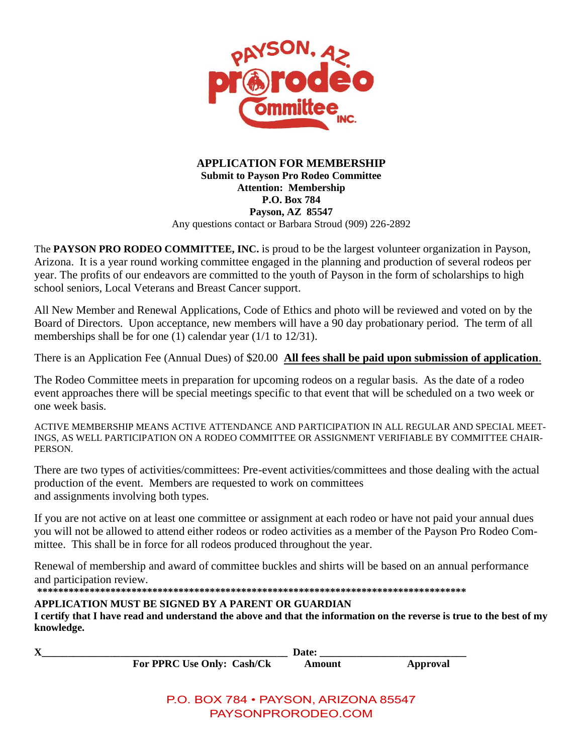

#### **APPLICATION FOR MEMBERSHIP Submit to Payson Pro Rodeo Committee Attention: Membership P.O. Box 784 Payson, AZ 85547** Any questions contact or Barbara Stroud (909) 226-2892

The **PAYSON PRO RODEO COMMITTEE, INC.** is proud to be the largest volunteer organization in Payson, Arizona. It is a year round working committee engaged in the planning and production of several rodeos per year. The profits of our endeavors are committed to the youth of Payson in the form of scholarships to high school seniors, Local Veterans and Breast Cancer support.

All New Member and Renewal Applications, Code of Ethics and photo will be reviewed and voted on by the Board of Directors. Upon acceptance, new members will have a 90 day probationary period. The term of all memberships shall be for one (1) calendar year (1/1 to 12/31).

There is an Application Fee (Annual Dues) of \$20.00 **All fees shall be paid upon submission of application**.

The Rodeo Committee meets in preparation for upcoming rodeos on a regular basis. As the date of a rodeo event approaches there will be special meetings specific to that event that will be scheduled on a two week or one week basis.

ACTIVE MEMBERSHIP MEANS ACTIVE ATTENDANCE AND PARTICIPATION IN ALL REGULAR AND SPECIAL MEET-INGS, AS WELL PARTICIPATION ON A RODEO COMMITTEE OR ASSIGNMENT VERIFIABLE BY COMMITTEE CHAIR-PERSON.

There are two types of activities/committees: Pre-event activities/committees and those dealing with the actual production of the event. Members are requested to work on committees and assignments involving both types.

If you are not active on at least one committee or assignment at each rodeo or have not paid your annual dues you will not be allowed to attend either rodeos or rodeo activities as a member of the Payson Pro Rodeo Committee. This shall be in force for all rodeos produced throughout the year.

Renewal of membership and award of committee buckles and shirts will be based on an annual performance and participation review.

**\*\*\*\*\*\*\*\*\*\*\*\*\*\*\*\*\*\*\*\*\*\*\*\*\*\*\*\*\*\*\*\*\*\*\*\*\*\*\*\*\*\*\*\*\*\*\*\*\*\*\*\*\*\*\*\*\*\*\*\*\*\*\*\*\*\*\*\*\*\*\*\*\*\*\*\*\*\*\*\*\*\***

#### **APPLICATION MUST BE SIGNED BY A PARENT OR GUARDIAN**

**I certify that I have read and understand the above and that the information on the reverse is true to the best of my knowledge.**

| X |                            | Date:  |          |  |  |  |
|---|----------------------------|--------|----------|--|--|--|
|   | For PPRC Use Only: Cash/Ck | Amount | Approval |  |  |  |
|   |                            |        |          |  |  |  |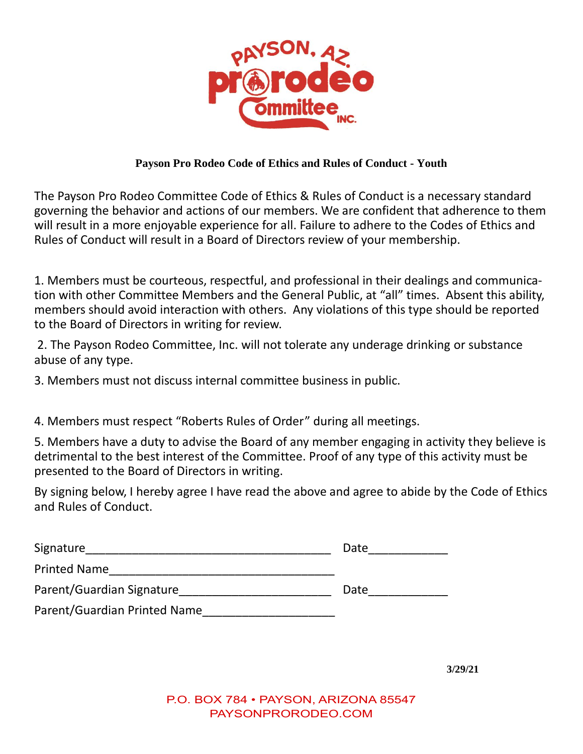

## **Payson Pro Rodeo Code of Ethics and Rules of Conduct - Youth**

The Payson Pro Rodeo Committee Code of Ethics & Rules of Conduct is a necessary standard governing the behavior and actions of our members. We are confident that adherence to them will result in a more enjoyable experience for all. Failure to adhere to the Codes of Ethics and Rules of Conduct will result in a Board of Directors review of your membership.

1. Members must be courteous, respectful, and professional in their dealings and communication with other Committee Members and the General Public, at "all" times. Absent this ability, members should avoid interaction with others. Any violations of this type should be reported to the Board of Directors in writing for review.

2. The Payson Rodeo Committee, Inc. will not tolerate any underage drinking or substance abuse of any type.

3. Members must not discuss internal committee business in public.

4. Members must respect "Roberts Rules of Order" during all meetings.

5. Members have a duty to advise the Board of any member engaging in activity they believe is detrimental to the best interest of the Committee. Proof of any type of this activity must be presented to the Board of Directors in writing.

By signing below, I hereby agree I have read the above and agree to abide by the Code of Ethics and Rules of Conduct.

| Signature                    | Date |
|------------------------------|------|
| <b>Printed Name</b>          |      |
| Parent/Guardian Signature    | Date |
| Parent/Guardian Printed Name |      |

**3/29/21**